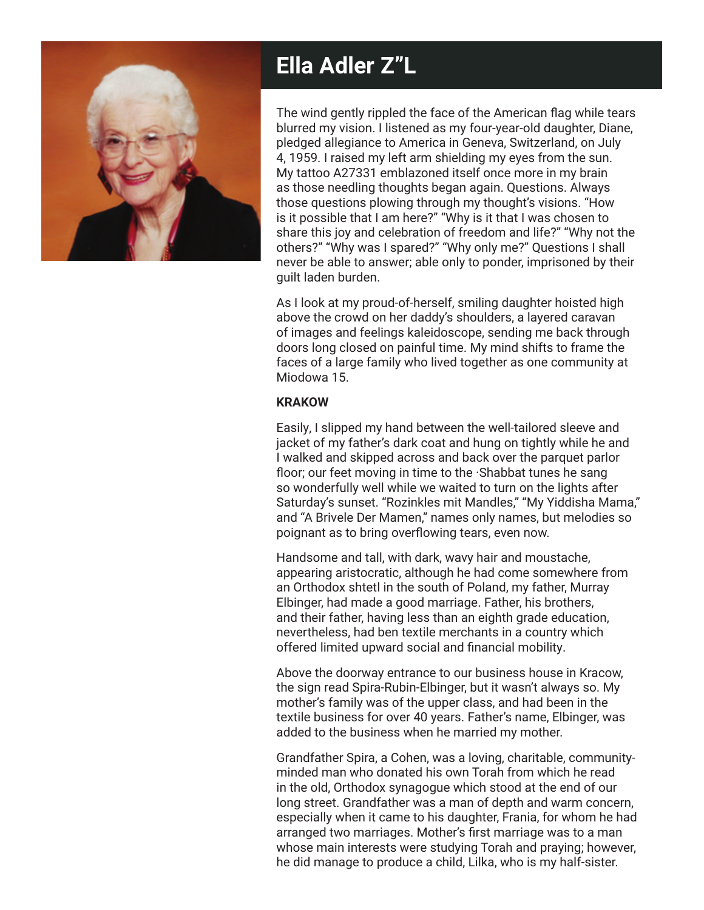

# **Ella Adler Z"L**

The wind gently rippled the face of the American flag while tears blurred my vision. I listened as my four-year-old daughter, Diane, pledged allegiance to America in Geneva, Switzerland, on July 4, 1959. I raised my left arm shielding my eyes from the sun. My tattoo A27331 emblazoned itself once more in my brain as those needling thoughts began again. Questions. Always those questions plowing through my thought's visions. "How is it possible that I am here?" "Why is it that I was chosen to share this joy and celebration of freedom and life?" "Why not the others?" "Why was I spared?" "Why only me?" Questions I shall never be able to answer; able only to ponder, imprisoned by their guilt laden burden.

As I look at my proud-of-herself, smiling daughter hoisted high above the crowd on her daddy's shoulders, a layered caravan of images and feelings kaleidoscope, sending me back through doors long closed on painful time. My mind shifts to frame the faces of a large family who lived together as one community at Miodowa 15.

#### **KRAKOW**

Easily, I slipped my hand between the well-tailored sleeve and jacket of my father's dark coat and hung on tightly while he and I walked and skipped across and back over the parquet parlor floor; our feet moving in time to the ·Shabbat tunes he sang so wonderfully well while we waited to turn on the lights after Saturday's sunset. "Rozinkles mit Mandles," "My Yiddisha Mama," and "A Brivele Der Mamen," names only names, but melodies so poignant as to bring overflowing tears, even now.

Handsome and tall, with dark, wavy hair and moustache, appearing aristocratic, although he had come somewhere from an Orthodox shtetl in the south of Poland, my father, Murray Elbinger, had made a good marriage. Father, his brothers, and their father, having less than an eighth grade education, nevertheless, had ben textile merchants in a country which offered limited upward social and financial mobility.

Above the doorway entrance to our business house in Kracow, the sign read Spira-Rubin-Elbinger, but it wasn't always so. My mother's family was of the upper class, and had been in the textile business for over 40 years. Father's name, Elbinger, was added to the business when he married my mother.

Grandfather Spira, a Cohen, was a loving, charitable, communityminded man who donated his own Torah from which he read in the old, Orthodox synagogue which stood at the end of our long street. Grandfather was a man of depth and warm concern, especially when it came to his daughter, Frania, for whom he had arranged two marriages. Mother's first marriage was to a man whose main interests were studying Torah and praying; however, he did manage to produce a child, Lilka, who is my half-sister.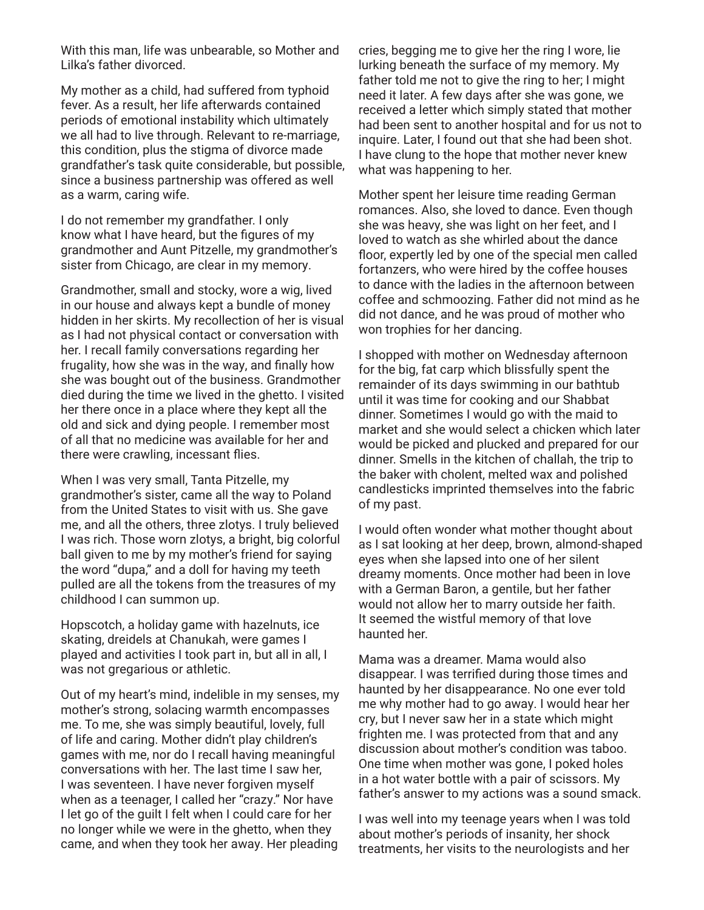With this man, life was unbearable, so Mother and Lilka's father divorced.

My mother as a child, had suffered from typhoid fever. As a result, her life afterwards contained periods of emotional instability which ultimately we all had to live through. Relevant to re-marriage, this condition, plus the stigma of divorce made grandfather's task quite considerable, but possible, since a business partnership was offered as well as a warm, caring wife.

I do not remember my grandfather. I only know what I have heard, but the figures of my grandmother and Aunt Pitzelle, my grandmother's sister from Chicago, are clear in my memory.

Grandmother, small and stocky, wore a wig, lived in our house and always kept a bundle of money hidden in her skirts. My recollection of her is visual as I had not physical contact or conversation with her. I recall family conversations regarding her frugality, how she was in the way, and finally how she was bought out of the business. Grandmother died during the time we lived in the ghetto. I visited her there once in a place where they kept all the old and sick and dying people. I remember most of all that no medicine was available for her and there were crawling, incessant flies.

When I was very small, Tanta Pitzelle, my grandmother's sister, came all the way to Poland from the United States to visit with us. She gave me, and all the others, three zlotys. I truly believed I was rich. Those worn zlotys, a bright, big colorful ball given to me by my mother's friend for saying the word "dupa," and a doll for having my teeth pulled are all the tokens from the treasures of my childhood I can summon up.

Hopscotch, a holiday game with hazelnuts, ice skating, dreidels at Chanukah, were games I played and activities I took part in, but all in all, I was not gregarious or athletic.

Out of my heart's mind, indelible in my senses, my mother's strong, solacing warmth encompasses me. To me, she was simply beautiful, lovely, full of life and caring. Mother didn't play children's games with me, nor do I recall having meaningful conversations with her. The last time I saw her, I was seventeen. I have never forgiven myself when as a teenager, I called her "crazy." Nor have I let go of the guilt I felt when I could care for her no longer while we were in the ghetto, when they came, and when they took her away. Her pleading

cries, begging me to give her the ring I wore, lie lurking beneath the surface of my memory. My father told me not to give the ring to her; I might need it later. A few days after she was gone, we received a letter which simply stated that mother had been sent to another hospital and for us not to inquire. Later, I found out that she had been shot. I have clung to the hope that mother never knew what was happening to her.

Mother spent her leisure time reading German romances. Also, she loved to dance. Even though she was heavy, she was light on her feet, and I loved to watch as she whirled about the dance floor, expertly led by one of the special men called fortanzers, who were hired by the coffee houses to dance with the ladies in the afternoon between coffee and schmoozing. Father did not mind as he did not dance, and he was proud of mother who won trophies for her dancing.

I shopped with mother on Wednesday afternoon for the big, fat carp which blissfully spent the remainder of its days swimming in our bathtub until it was time for cooking and our Shabbat dinner. Sometimes I would go with the maid to market and she would select a chicken which later would be picked and plucked and prepared for our dinner. Smells in the kitchen of challah, the trip to the baker with cholent, melted wax and polished candlesticks imprinted themselves into the fabric of my past.

I would often wonder what mother thought about as I sat looking at her deep, brown, almond-shaped eyes when she lapsed into one of her silent dreamy moments. Once mother had been in love with a German Baron, a gentile, but her father would not allow her to marry outside her faith. It seemed the wistful memory of that love haunted her.

Mama was a dreamer. Mama would also disappear. I was terrified during those times and haunted by her disappearance. No one ever told me why mother had to go away. I would hear her cry, but I never saw her in a state which might frighten me. I was protected from that and any discussion about mother's condition was taboo. One time when mother was gone, I poked holes in a hot water bottle with a pair of scissors. My father's answer to my actions was a sound smack.

I was well into my teenage years when I was told about mother's periods of insanity, her shock treatments, her visits to the neurologists and her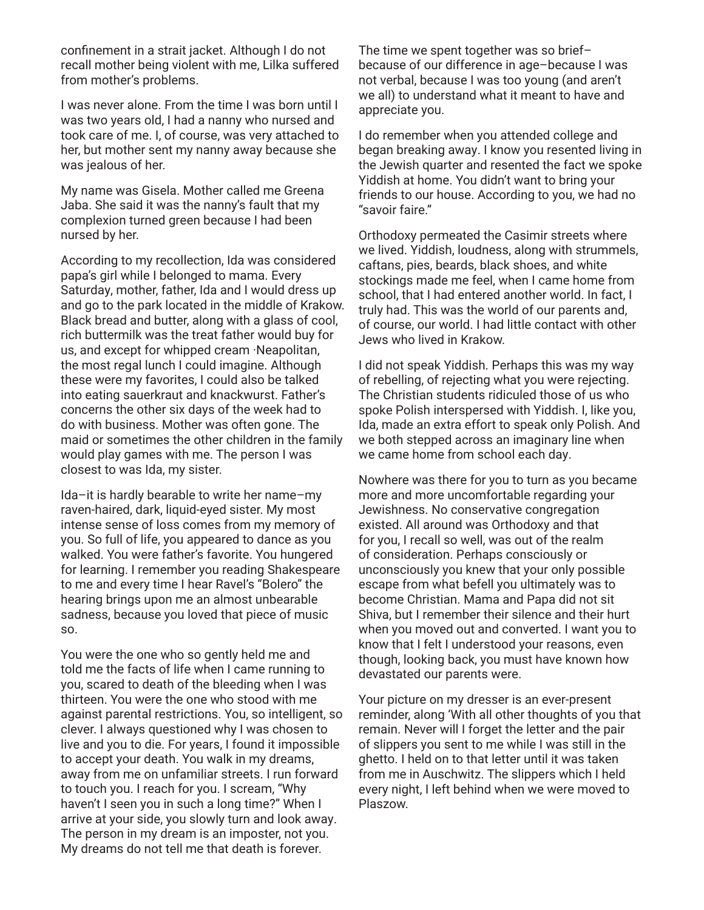confinement in a strait jacket. Although I do not recall mother being violent with me, Lilka suffered from mother's problems.

I was never alone. From the time I was born until I was two years old, I had a nanny who nursed and took care of me. I, of course, was very attached to her, but mother sent my nanny away because she was jealous of her.

My name was Gisela. Mother called me Greena Jaba. She said it was the nanny's fault that my complexion turned green because I had been nursed by her.

According to my recollection, Ida was considered papa's girl while I belonged to mama. Every Saturday, mother, father, Ida and I would dress up and go to the park located in the middle of Krakow. Black bread and butter, along with a glass of cool, rich buttermilk was the treat father would buy for us, and except for whipped cream ·Neapolitan, the most regal lunch I could imagine. Although these were my favorites, I could also be talked into eating sauerkraut and knackwurst. Father's concerns the other six days of the week had to do with business. Mother was often gone. The maid or sometimes the other children in the family would play games with me. The person I was closest to was Ida, my sister.

Ida–it is hardly bearable to write her name–my raven-haired, dark, liquid-eyed sister. My most intense sense of loss comes from my memory of you. So full of life, you appeared to dance as you walked. You were father's favorite. You hungered for learning. I remember you reading Shakespeare to me and every time I hear Ravel's "Bolero" the hearing brings upon me an almost unbearable sadness, because you loved that piece of music so.

You were the one who so gently held me and told me the facts of life when I came running to you, scared to death of the bleeding when I was thirteen. You were the one who stood with me against parental restrictions. You, so intelligent, so clever. I always questioned why I was chosen to live and you to die. For years, I found it impossible to accept your death. You walk in my dreams, away from me on unfamiliar streets. I run forward to touch you. I reach for you. I scream, "Why haven't I seen you in such a long time?" When I arrive at your side, you slowly turn and look away. The person in my dream is an imposter, not you. My dreams do not tell me that death is forever.

The time we spent together was so brief– because of our difference in age–because I was not verbal, because I was too young (and aren't we all) to understand what it meant to have and appreciate you.

I do remember when you attended college and began breaking away. I know you resented living in the Jewish quarter and resented the fact we spoke Yiddish at home. You didn't want to bring your friends to our house. According to you, we had no "savoir faire."

Orthodoxy permeated the Casimir streets where we lived. Yiddish, loudness, along with strummels, caftans, pies, beards, black shoes, and white stockings made me feel, when I came home from school, that I had entered another world. In fact, I truly had. This was the world of our parents and, of course, our world. I had little contact with other Jews who lived in Krakow.

I did not speak Yiddish. Perhaps this was my way of rebelling, of rejecting what you were rejecting. The Christian students ridiculed those of us who spoke Polish interspersed with Yiddish. I, like you, Ida, made an extra effort to speak only Polish. And we both stepped across an imaginary line when we came home from school each day.

Nowhere was there for you to turn as you became more and more uncomfortable regarding your Jewishness. No conservative congregation existed. All around was Orthodoxy and that for you, I recall so well, was out of the realm of consideration. Perhaps consciously or unconsciously you knew that your only possible escape from what befell you ultimately was to become Christian. Mama and Papa did not sit Shiva, but I remember their silence and their hurt when you moved out and converted. I want you to know that I felt I understood your reasons, even though, looking back, you must have known how devastated our parents were.

Your picture on my dresser is an ever-present reminder, along 'With all other thoughts of you that remain. Never will I forget the letter and the pair of slippers you sent to me while I was still in the ghetto. I held on to that letter until it was taken from me in Auschwitz. The slippers which I held every night, I left behind when we were moved to Plaszow.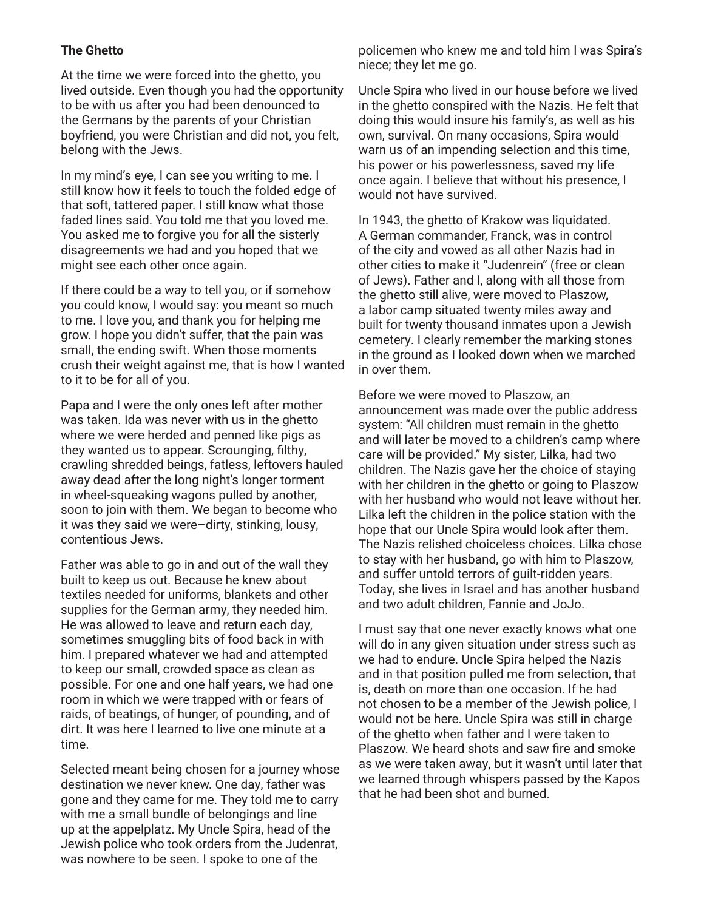# **The Ghetto**

At the time we were forced into the ghetto, you lived outside. Even though you had the opportunity to be with us after you had been denounced to the Germans by the parents of your Christian boyfriend, you were Christian and did not, you felt, belong with the Jews.

In my mind's eye, I can see you writing to me. I still know how it feels to touch the folded edge of that soft, tattered paper. I still know what those faded lines said. You told me that you loved me. You asked me to forgive you for all the sisterly disagreements we had and you hoped that we might see each other once again.

If there could be a way to tell you, or if somehow you could know, I would say: you meant so much to me. I love you, and thank you for helping me grow. I hope you didn't suffer, that the pain was small, the ending swift. When those moments crush their weight against me, that is how I wanted to it to be for all of you.

Papa and I were the only ones left after mother was taken. Ida was never with us in the ghetto where we were herded and penned like pigs as they wanted us to appear. Scrounging, filthy, crawling shredded beings, fatless, leftovers hauled away dead after the long night's longer torment in wheel-squeaking wagons pulled by another, soon to join with them. We began to become who it was they said we were–dirty, stinking, lousy, contentious Jews.

Father was able to go in and out of the wall they built to keep us out. Because he knew about textiles needed for uniforms, blankets and other supplies for the German army, they needed him. He was allowed to leave and return each day, sometimes smuggling bits of food back in with him. I prepared whatever we had and attempted to keep our small, crowded space as clean as possible. For one and one half years, we had one room in which we were trapped with or fears of raids, of beatings, of hunger, of pounding, and of dirt. It was here I learned to live one minute at a time.

Selected meant being chosen for a journey whose destination we never knew. One day, father was gone and they came for me. They told me to carry with me a small bundle of belongings and line up at the appelplatz. My Uncle Spira, head of the Jewish police who took orders from the Judenrat, was nowhere to be seen. I spoke to one of the

policemen who knew me and told him I was Spira's niece; they let me go.

Uncle Spira who lived in our house before we lived in the ghetto conspired with the Nazis. He felt that doing this would insure his family's, as well as his own, survival. On many occasions, Spira would warn us of an impending selection and this time, his power or his powerlessness, saved my life once again. I believe that without his presence, I would not have survived.

In 1943, the ghetto of Krakow was liquidated. A German commander, Franck, was in control of the city and vowed as all other Nazis had in other cities to make it "Judenrein" (free or clean of Jews). Father and I, along with all those from the ghetto still alive, were moved to Plaszow, a labor camp situated twenty miles away and built for twenty thousand inmates upon a Jewish cemetery. I clearly remember the marking stones in the ground as I looked down when we marched in over them.

Before we were moved to Plaszow, an announcement was made over the public address system: "All children must remain in the ghetto and will later be moved to a children's camp where care will be provided." My sister, Lilka, had two children. The Nazis gave her the choice of staying with her children in the ghetto or going to Plaszow with her husband who would not leave without her. Lilka left the children in the police station with the hope that our Uncle Spira would look after them. The Nazis relished choiceless choices. Lilka chose to stay with her husband, go with him to Plaszow, and suffer untold terrors of guilt-ridden years. Today, she lives in Israel and has another husband and two adult children, Fannie and JoJo.

I must say that one never exactly knows what one will do in any given situation under stress such as we had to endure. Uncle Spira helped the Nazis and in that position pulled me from selection, that is, death on more than one occasion. If he had not chosen to be a member of the Jewish police, I would not be here. Uncle Spira was still in charge of the ghetto when father and I were taken to Plaszow. We heard shots and saw fire and smoke as we were taken away, but it wasn't until later that we learned through whispers passed by the Kapos that he had been shot and burned.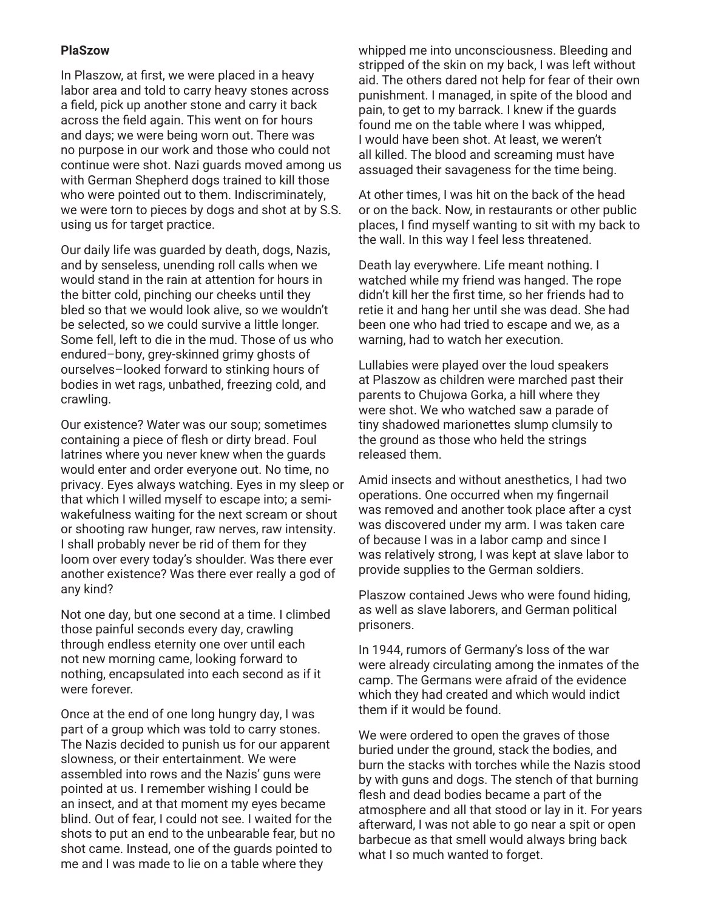## **PlaSzow**

In Plaszow, at first, we were placed in a heavy labor area and told to carry heavy stones across a field, pick up another stone and carry it back across the field again. This went on for hours and days; we were being worn out. There was no purpose in our work and those who could not continue were shot. Nazi guards moved among us with German Shepherd dogs trained to kill those who were pointed out to them. Indiscriminately, we were torn to pieces by dogs and shot at by S.S. using us for target practice.

Our daily life was guarded by death, dogs, Nazis, and by senseless, unending roll calls when we would stand in the rain at attention for hours in the bitter cold, pinching our cheeks until they bled so that we would look alive, so we wouldn't be selected, so we could survive a little longer. Some fell, left to die in the mud. Those of us who endured–bony, grey-skinned grimy ghosts of ourselves–looked forward to stinking hours of bodies in wet rags, unbathed, freezing cold, and crawling.

Our existence? Water was our soup; sometimes containing a piece of flesh or dirty bread. Foul latrines where you never knew when the guards would enter and order everyone out. No time, no privacy. Eyes always watching. Eyes in my sleep or that which I willed myself to escape into; a semiwakefulness waiting for the next scream or shout or shooting raw hunger, raw nerves, raw intensity. I shall probably never be rid of them for they loom over every today's shoulder. Was there ever another existence? Was there ever really a god of any kind?

Not one day, but one second at a time. I climbed those painful seconds every day, crawling through endless eternity one over until each not new morning came, looking forward to nothing, encapsulated into each second as if it were forever.

Once at the end of one long hungry day, I was part of a group which was told to carry stones. The Nazis decided to punish us for our apparent slowness, or their entertainment. We were assembled into rows and the Nazis' guns were pointed at us. I remember wishing I could be an insect, and at that moment my eyes became blind. Out of fear, I could not see. I waited for the shots to put an end to the unbearable fear, but no shot came. Instead, one of the guards pointed to me and I was made to lie on a table where they

whipped me into unconsciousness. Bleeding and stripped of the skin on my back, I was left without aid. The others dared not help for fear of their own punishment. I managed, in spite of the blood and pain, to get to my barrack. I knew if the guards found me on the table where I was whipped, I would have been shot. At least, we weren't all killed. The blood and screaming must have assuaged their savageness for the time being.

At other times, I was hit on the back of the head or on the back. Now, in restaurants or other public places, I find myself wanting to sit with my back to the wall. In this way I feel less threatened.

Death lay everywhere. Life meant nothing. I watched while my friend was hanged. The rope didn't kill her the first time, so her friends had to retie it and hang her until she was dead. She had been one who had tried to escape and we, as a warning, had to watch her execution.

Lullabies were played over the loud speakers at Plaszow as children were marched past their parents to Chujowa Gorka, a hill where they were shot. We who watched saw a parade of tiny shadowed marionettes slump clumsily to the ground as those who held the strings released them.

Amid insects and without anesthetics, I had two operations. One occurred when my fingernail was removed and another took place after a cyst was discovered under my arm. I was taken care of because I was in a labor camp and since I was relatively strong, I was kept at slave labor to provide supplies to the German soldiers.

Plaszow contained Jews who were found hiding, as well as slave laborers, and German political prisoners.

In 1944, rumors of Germany's loss of the war were already circulating among the inmates of the camp. The Germans were afraid of the evidence which they had created and which would indict them if it would be found.

We were ordered to open the graves of those buried under the ground, stack the bodies, and burn the stacks with torches while the Nazis stood by with guns and dogs. The stench of that burning flesh and dead bodies became a part of the atmosphere and all that stood or lay in it. For years afterward, I was not able to go near a spit or open barbecue as that smell would always bring back what I so much wanted to forget.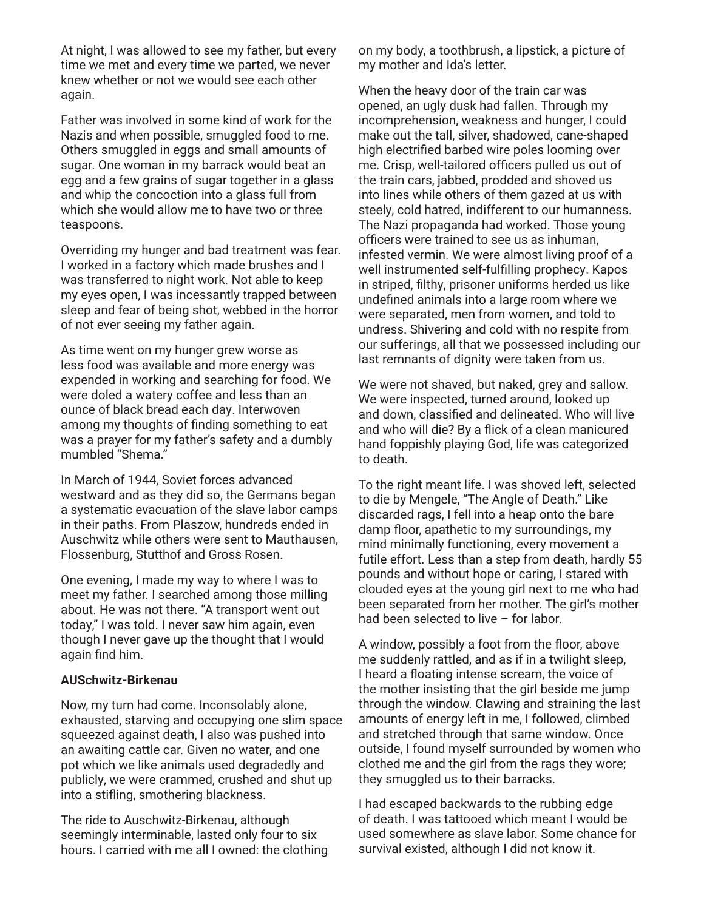At night, I was allowed to see my father, but every time we met and every time we parted, we never knew whether or not we would see each other again.

Father was involved in some kind of work for the Nazis and when possible, smuggled food to me. Others smuggled in eggs and small amounts of sugar. One woman in my barrack would beat an egg and a few grains of sugar together in a glass and whip the concoction into a glass full from which she would allow me to have two or three teaspoons.

Overriding my hunger and bad treatment was fear. I worked in a factory which made brushes and I was transferred to night work. Not able to keep my eyes open, I was incessantly trapped between sleep and fear of being shot, webbed in the horror of not ever seeing my father again.

As time went on my hunger grew worse as less food was available and more energy was expended in working and searching for food. We were doled a watery coffee and less than an ounce of black bread each day. Interwoven among my thoughts of finding something to eat was a prayer for my father's safety and a dumbly mumbled "Shema."

In March of 1944, Soviet forces advanced westward and as they did so, the Germans began a systematic evacuation of the slave labor camps in their paths. From Plaszow, hundreds ended in Auschwitz while others were sent to Mauthausen, Flossenburg, Stutthof and Gross Rosen.

One evening, I made my way to where I was to meet my father. I searched among those milling about. He was not there. "A transport went out today," I was told. I never saw him again, even though I never gave up the thought that I would again find him.

#### **AUSchwitz-Birkenau**

Now, my turn had come. Inconsolably alone, exhausted, starving and occupying one slim space squeezed against death, I also was pushed into an awaiting cattle car. Given no water, and one pot which we like animals used degradedly and publicly, we were crammed, crushed and shut up into a stifling, smothering blackness.

The ride to Auschwitz-Birkenau, although seemingly interminable, lasted only four to six hours. I carried with me all I owned: the clothing on my body, a toothbrush, a lipstick, a picture of my mother and Ida's letter.

When the heavy door of the train car was opened, an ugly dusk had fallen. Through my incomprehension, weakness and hunger, I could make out the tall, silver, shadowed, cane-shaped high electrified barbed wire poles looming over me. Crisp, well-tailored officers pulled us out of the train cars, jabbed, prodded and shoved us into lines while others of them gazed at us with steely, cold hatred, indifferent to our humanness. The Nazi propaganda had worked. Those young officers were trained to see us as inhuman, infested vermin. We were almost living proof of a well instrumented self-fulfilling prophecy. Kapos in striped, filthy, prisoner uniforms herded us like undefined animals into a large room where we were separated, men from women, and told to undress. Shivering and cold with no respite from our sufferings, all that we possessed including our last remnants of dignity were taken from us.

We were not shaved, but naked, grey and sallow. We were inspected, turned around, looked up and down, classified and delineated. Who will live and who will die? By a flick of a clean manicured hand foppishly playing God, life was categorized to death.

To the right meant life. I was shoved left, selected to die by Mengele, "The Angle of Death." Like discarded rags, I fell into a heap onto the bare damp floor, apathetic to my surroundings, my mind minimally functioning, every movement a futile effort. Less than a step from death, hardly 55 pounds and without hope or caring, I stared with clouded eyes at the young girl next to me who had been separated from her mother. The girl's mother had been selected to live - for labor.

A window, possibly a foot from the floor, above me suddenly rattled, and as if in a twilight sleep, I heard a floating intense scream, the voice of the mother insisting that the girl beside me jump through the window. Clawing and straining the last amounts of energy left in me, I followed, climbed and stretched through that same window. Once outside, I found myself surrounded by women who clothed me and the girl from the rags they wore; they smuggled us to their barracks.

I had escaped backwards to the rubbing edge of death. I was tattooed which meant I would be used somewhere as slave labor. Some chance for survival existed, although I did not know it.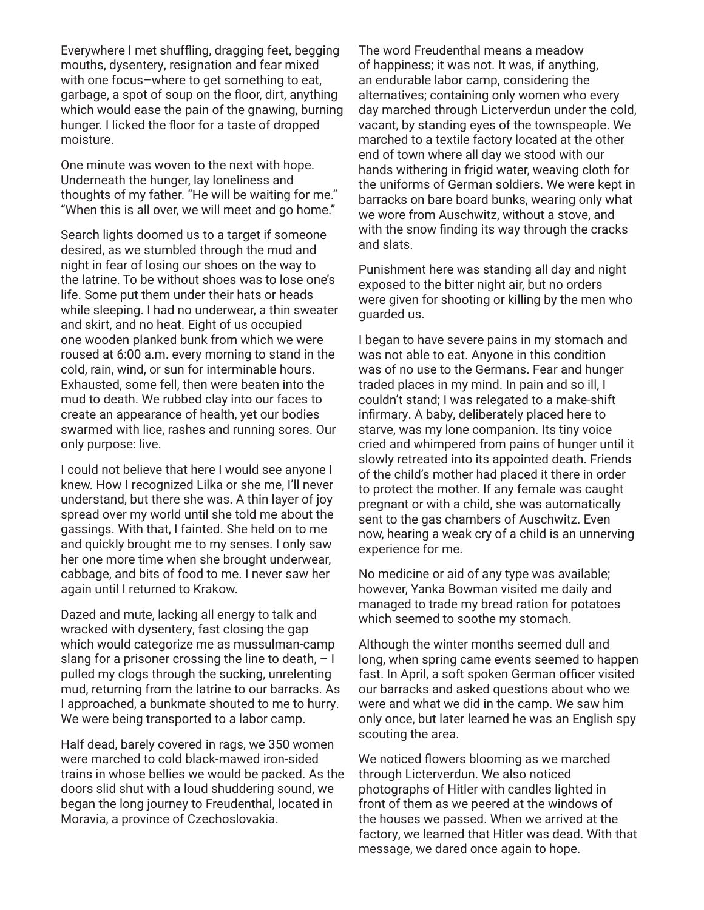Everywhere I met shuffling, dragging feet, begging mouths, dysentery, resignation and fear mixed with one focus–where to get something to eat, garbage, a spot of soup on the floor, dirt, anything which would ease the pain of the gnawing, burning hunger. I licked the floor for a taste of dropped moisture.

One minute was woven to the next with hope. Underneath the hunger, lay loneliness and thoughts of my father. "He will be waiting for me." "When this is all over, we will meet and go home."

Search lights doomed us to a target if someone desired, as we stumbled through the mud and night in fear of losing our shoes on the way to the latrine. To be without shoes was to lose one's life. Some put them under their hats or heads while sleeping. I had no underwear, a thin sweater and skirt, and no heat. Eight of us occupied one wooden planked bunk from which we were roused at 6:00 a.m. every morning to stand in the cold, rain, wind, or sun for interminable hours. Exhausted, some fell, then were beaten into the mud to death. We rubbed clay into our faces to create an appearance of health, yet our bodies swarmed with lice, rashes and running sores. Our only purpose: live.

I could not believe that here I would see anyone I knew. How I recognized Lilka or she me, I'll never understand, but there she was. A thin layer of joy spread over my world until she told me about the gassings. With that, I fainted. She held on to me and quickly brought me to my senses. I only saw her one more time when she brought underwear, cabbage, and bits of food to me. I never saw her again until I returned to Krakow.

Dazed and mute, lacking all energy to talk and wracked with dysentery, fast closing the gap which would categorize me as mussulman-camp slang for a prisoner crossing the line to death,  $-1$ pulled my clogs through the sucking, unrelenting mud, returning from the latrine to our barracks. As I approached, a bunkmate shouted to me to hurry. We were being transported to a labor camp.

Half dead, barely covered in rags, we 350 women were marched to cold black-mawed iron-sided trains in whose bellies we would be packed. As the doors slid shut with a loud shuddering sound, we began the long journey to Freudenthal, located in Moravia, a province of Czechoslovakia.

The word Freudenthal means a meadow of happiness; it was not. It was, if anything, an endurable labor camp, considering the alternatives; containing only women who every day marched through Licterverdun under the cold, vacant, by standing eyes of the townspeople. We marched to a textile factory located at the other end of town where all day we stood with our hands withering in frigid water, weaving cloth for the uniforms of German soldiers. We were kept in barracks on bare board bunks, wearing only what we wore from Auschwitz, without a stove, and with the snow finding its way through the cracks and slats.

Punishment here was standing all day and night exposed to the bitter night air, but no orders were given for shooting or killing by the men who guarded us.

I began to have severe pains in my stomach and was not able to eat. Anyone in this condition was of no use to the Germans. Fear and hunger traded places in my mind. In pain and so ill, I couldn't stand; I was relegated to a make-shift infirmary. A baby, deliberately placed here to starve, was my lone companion. Its tiny voice cried and whimpered from pains of hunger until it slowly retreated into its appointed death. Friends of the child's mother had placed it there in order to protect the mother. If any female was caught pregnant or with a child, she was automatically sent to the gas chambers of Auschwitz. Even now, hearing a weak cry of a child is an unnerving experience for me.

No medicine or aid of any type was available; however, Yanka Bowman visited me daily and managed to trade my bread ration for potatoes which seemed to soothe my stomach.

Although the winter months seemed dull and long, when spring came events seemed to happen fast. In April, a soft spoken German officer visited our barracks and asked questions about who we were and what we did in the camp. We saw him only once, but later learned he was an English spy scouting the area.

We noticed flowers blooming as we marched through Licterverdun. We also noticed photographs of Hitler with candles lighted in front of them as we peered at the windows of the houses we passed. When we arrived at the factory, we learned that Hitler was dead. With that message, we dared once again to hope.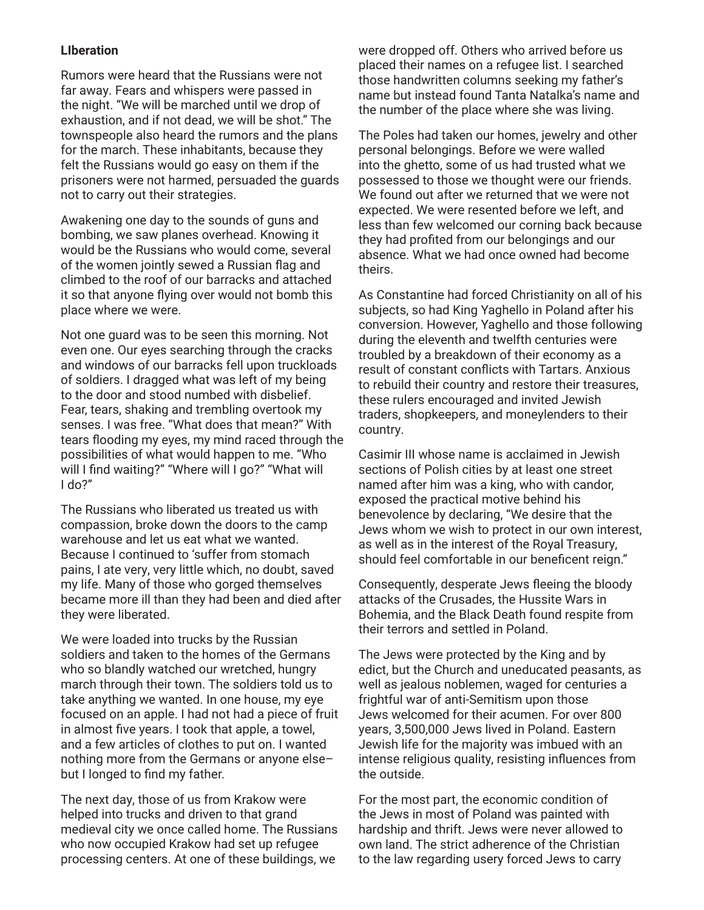## **LIberation**

Rumors were heard that the Russians were not far away. Fears and whispers were passed in the night. "We will be marched until we drop of exhaustion, and if not dead, we will be shot." The townspeople also heard the rumors and the plans for the march. These inhabitants, because they felt the Russians would go easy on them if the prisoners were not harmed, persuaded the guards not to carry out their strategies.

Awakening one day to the sounds of guns and bombing, we saw planes overhead. Knowing it would be the Russians who would come, several of the women jointly sewed a Russian flag and climbed to the roof of our barracks and attached it so that anyone flying over would not bomb this place where we were.

Not one guard was to be seen this morning. Not even one. Our eyes searching through the cracks and windows of our barracks fell upon truckloads of soldiers. I dragged what was left of my being to the door and stood numbed with disbelief. Fear, tears, shaking and trembling overtook my senses. I was free. "What does that mean?" With tears flooding my eyes, my mind raced through the possibilities of what would happen to me. "Who will I find waiting?" "Where will I go?" "What will I do?"

The Russians who liberated us treated us with compassion, broke down the doors to the camp warehouse and let us eat what we wanted. Because I continued to 'suffer from stomach pains, I ate very, very little which, no doubt, saved my life. Many of those who gorged themselves became more ill than they had been and died after they were liberated.

We were loaded into trucks by the Russian soldiers and taken to the homes of the Germans who so blandly watched our wretched, hungry march through their town. The soldiers told us to take anything we wanted. In one house, my eye focused on an apple. I had not had a piece of fruit in almost five years. I took that apple, a towel, and a few articles of clothes to put on. I wanted nothing more from the Germans or anyone else– but I longed to find my father.

The next day, those of us from Krakow were helped into trucks and driven to that grand medieval city we once called home. The Russians who now occupied Krakow had set up refugee processing centers. At one of these buildings, we

were dropped off. Others who arrived before us placed their names on a refugee list. I searched those handwritten columns seeking my father's name but instead found Tanta Natalka's name and the number of the place where she was living.

The Poles had taken our homes, jewelry and other personal belongings. Before we were walled into the ghetto, some of us had trusted what we possessed to those we thought were our friends. We found out after we returned that we were not expected. We were resented before we left, and less than few welcomed our corning back because they had profited from our belongings and our absence. What we had once owned had become theirs.

As Constantine had forced Christianity on all of his subjects, so had King Yaghello in Poland after his conversion. However, Yaghello and those following during the eleventh and twelfth centuries were troubled by a breakdown of their economy as a result of constant conflicts with Tartars. Anxious to rebuild their country and restore their treasures, these rulers encouraged and invited Jewish traders, shopkeepers, and moneylenders to their country.

Casimir III whose name is acclaimed in Jewish sections of Polish cities by at least one street named after him was a king, who with candor, exposed the practical motive behind his benevolence by declaring, "We desire that the Jews whom we wish to protect in our own interest, as well as in the interest of the Royal Treasury, should feel comfortable in our beneficent reign."

Consequently, desperate Jews fleeing the bloody attacks of the Crusades, the Hussite Wars in Bohemia, and the Black Death found respite from their terrors and settled in Poland.

The Jews were protected by the King and by edict, but the Church and uneducated peasants, as well as jealous noblemen, waged for centuries a frightful war of anti-Semitism upon those Jews welcomed for their acumen. For over 800 years, 3,500,000 Jews lived in Poland. Eastern Jewish life for the majority was imbued with an intense religious quality, resisting influences from the outside.

For the most part, the economic condition of the Jews in most of Poland was painted with hardship and thrift. Jews were never allowed to own land. The strict adherence of the Christian to the law regarding usery forced Jews to carry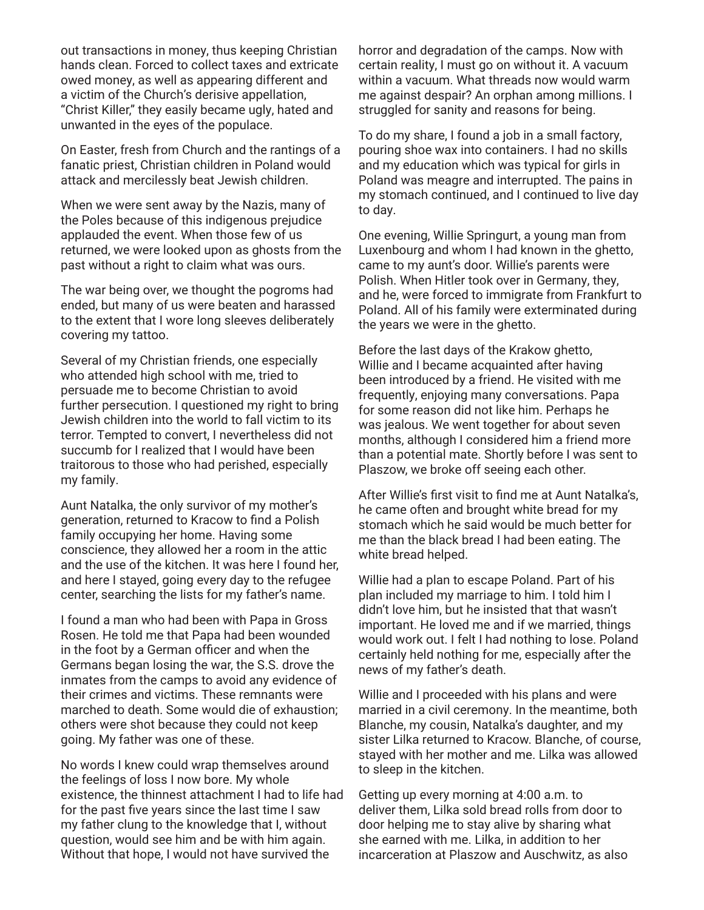out transactions in money, thus keeping Christian hands clean. Forced to collect taxes and extricate owed money, as well as appearing different and a victim of the Church's derisive appellation, "Christ Killer," they easily became ugly, hated and unwanted in the eyes of the populace.

On Easter, fresh from Church and the rantings of a fanatic priest, Christian children in Poland would attack and mercilessly beat Jewish children.

When we were sent away by the Nazis, many of the Poles because of this indigenous prejudice applauded the event. When those few of us returned, we were looked upon as ghosts from the past without a right to claim what was ours.

The war being over, we thought the pogroms had ended, but many of us were beaten and harassed to the extent that I wore long sleeves deliberately covering my tattoo.

Several of my Christian friends, one especially who attended high school with me, tried to persuade me to become Christian to avoid further persecution. I questioned my right to bring Jewish children into the world to fall victim to its terror. Tempted to convert, I nevertheless did not succumb for I realized that I would have been traitorous to those who had perished, especially my family.

Aunt Natalka, the only survivor of my mother's generation, returned to Kracow to find a Polish family occupying her home. Having some conscience, they allowed her a room in the attic and the use of the kitchen. It was here I found her, and here I stayed, going every day to the refugee center, searching the lists for my father's name.

I found a man who had been with Papa in Gross Rosen. He told me that Papa had been wounded in the foot by a German officer and when the Germans began losing the war, the S.S. drove the inmates from the camps to avoid any evidence of their crimes and victims. These remnants were marched to death. Some would die of exhaustion; others were shot because they could not keep going. My father was one of these.

No words I knew could wrap themselves around the feelings of loss I now bore. My whole existence, the thinnest attachment I had to life had for the past five years since the last time I saw my father clung to the knowledge that I, without question, would see him and be with him again. Without that hope, I would not have survived the

horror and degradation of the camps. Now with certain reality, I must go on without it. A vacuum within a vacuum. What threads now would warm me against despair? An orphan among millions. I struggled for sanity and reasons for being.

To do my share, I found a job in a small factory, pouring shoe wax into containers. I had no skills and my education which was typical for girls in Poland was meagre and interrupted. The pains in my stomach continued, and I continued to live day to day.

One evening, Willie Springurt, a young man from Luxenbourg and whom I had known in the ghetto, came to my aunt's door. Willie's parents were Polish. When Hitler took over in Germany, they, and he, were forced to immigrate from Frankfurt to Poland. All of his family were exterminated during the years we were in the ghetto.

Before the last days of the Krakow ghetto, Willie and I became acquainted after having been introduced by a friend. He visited with me frequently, enjoying many conversations. Papa for some reason did not like him. Perhaps he was jealous. We went together for about seven months, although I considered him a friend more than a potential mate. Shortly before I was sent to Plaszow, we broke off seeing each other.

After Willie's first visit to find me at Aunt Natalka's, he came often and brought white bread for my stomach which he said would be much better for me than the black bread I had been eating. The white bread helped.

Willie had a plan to escape Poland. Part of his plan included my marriage to him. I told him I didn't love him, but he insisted that that wasn't important. He loved me and if we married, things would work out. I felt I had nothing to lose. Poland certainly held nothing for me, especially after the news of my father's death.

Willie and I proceeded with his plans and were married in a civil ceremony. In the meantime, both Blanche, my cousin, Natalka's daughter, and my sister Lilka returned to Kracow. Blanche, of course, stayed with her mother and me. Lilka was allowed to sleep in the kitchen.

Getting up every morning at 4:00 a.m. to deliver them, Lilka sold bread rolls from door to door helping me to stay alive by sharing what she earned with me. Lilka, in addition to her incarceration at Plaszow and Auschwitz, as also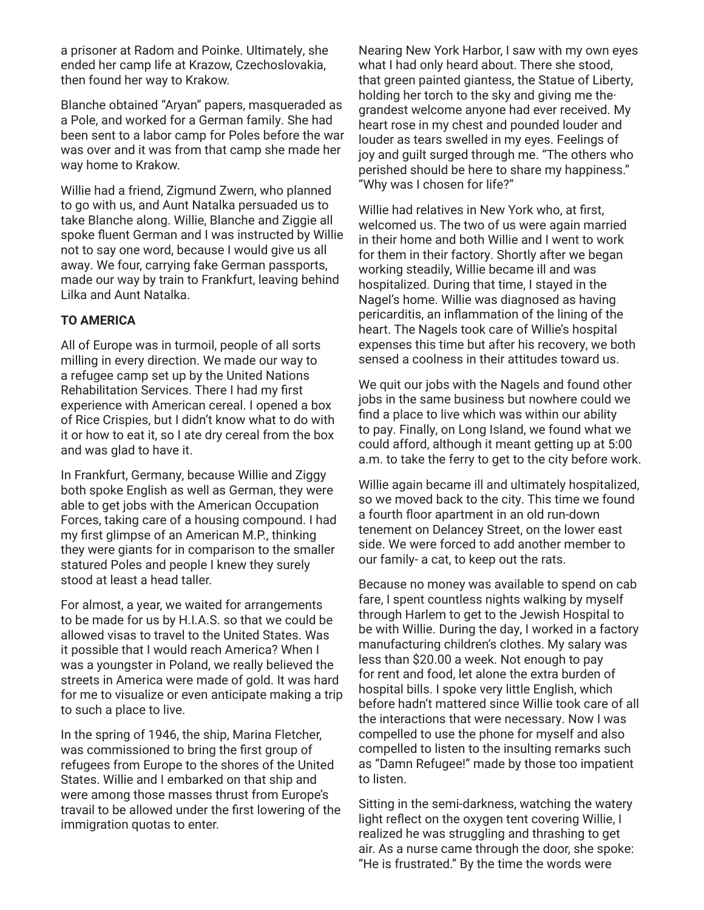a prisoner at Radom and Poinke. Ultimately, she ended her camp life at Krazow, Czechoslovakia, then found her way to Krakow.

Blanche obtained "Aryan" papers, masqueraded as a Pole, and worked for a German family. She had been sent to a labor camp for Poles before the war was over and it was from that camp she made her way home to Krakow.

Willie had a friend, Zigmund Zwern, who planned to go with us, and Aunt Natalka persuaded us to take Blanche along. Willie, Blanche and Ziggie all spoke fluent German and I was instructed by Willie not to say one word, because I would give us all away. We four, carrying fake German passports, made our way by train to Frankfurt, leaving behind Lilka and Aunt Natalka.

#### **TO AMERICA**

All of Europe was in turmoil, people of all sorts milling in every direction. We made our way to a refugee camp set up by the United Nations Rehabilitation Services. There I had my first experience with American cereal. I opened a box of Rice Crispies, but I didn't know what to do with it or how to eat it, so I ate dry cereal from the box and was glad to have it.

In Frankfurt, Germany, because Willie and Ziggy both spoke English as well as German, they were able to get jobs with the American Occupation Forces, taking care of a housing compound. I had my first glimpse of an American M.P., thinking they were giants for in comparison to the smaller statured Poles and people I knew they surely stood at least a head taller.

For almost, a year, we waited for arrangements to be made for us by H.I.A.S. so that we could be allowed visas to travel to the United States. Was it possible that I would reach America? When I was a youngster in Poland, we really believed the streets in America were made of gold. It was hard for me to visualize or even anticipate making a trip to such a place to live.

In the spring of 1946, the ship, Marina Fletcher, was commissioned to bring the first group of refugees from Europe to the shores of the United States. Willie and I embarked on that ship and were among those masses thrust from Europe's travail to be allowed under the first lowering of the immigration quotas to enter.

Nearing New York Harbor, I saw with my own eyes what I had only heard about. There she stood, that green painted giantess, the Statue of Liberty, holding her torch to the sky and giving me the· grandest welcome anyone had ever received. My heart rose in my chest and pounded louder and louder as tears swelled in my eyes. Feelings of joy and guilt surged through me. "The others who perished should be here to share my happiness." "Why was I chosen for life?"

Willie had relatives in New York who, at first, welcomed us. The two of us were again married in their home and both Willie and I went to work for them in their factory. Shortly after we began working steadily, Willie became ill and was hospitalized. During that time, I stayed in the Nagel's home. Willie was diagnosed as having pericarditis, an inflammation of the lining of the heart. The Nagels took care of Willie's hospital expenses this time but after his recovery, we both sensed a coolness in their attitudes toward us.

We quit our jobs with the Nagels and found other jobs in the same business but nowhere could we find a place to live which was within our ability to pay. Finally, on Long Island, we found what we could afford, although it meant getting up at 5:00 a.m. to take the ferry to get to the city before work.

Willie again became ill and ultimately hospitalized, so we moved back to the city. This time we found a fourth floor apartment in an old run-down tenement on Delancey Street, on the lower east side. We were forced to add another member to our family- a cat, to keep out the rats.

Because no money was available to spend on cab fare, I spent countless nights walking by myself through Harlem to get to the Jewish Hospital to be with Willie. During the day, I worked in a factory manufacturing children's clothes. My salary was less than \$20.00 a week. Not enough to pay for rent and food, let alone the extra burden of hospital bills. I spoke very little English, which before hadn't mattered since Willie took care of all the interactions that were necessary. Now I was compelled to use the phone for myself and also compelled to listen to the insulting remarks such as "Damn Refugee!" made by those too impatient to listen.

Sitting in the semi-darkness, watching the watery light reflect on the oxygen tent covering Willie, I realized he was struggling and thrashing to get air. As a nurse came through the door, she spoke: "He is frustrated." By the time the words were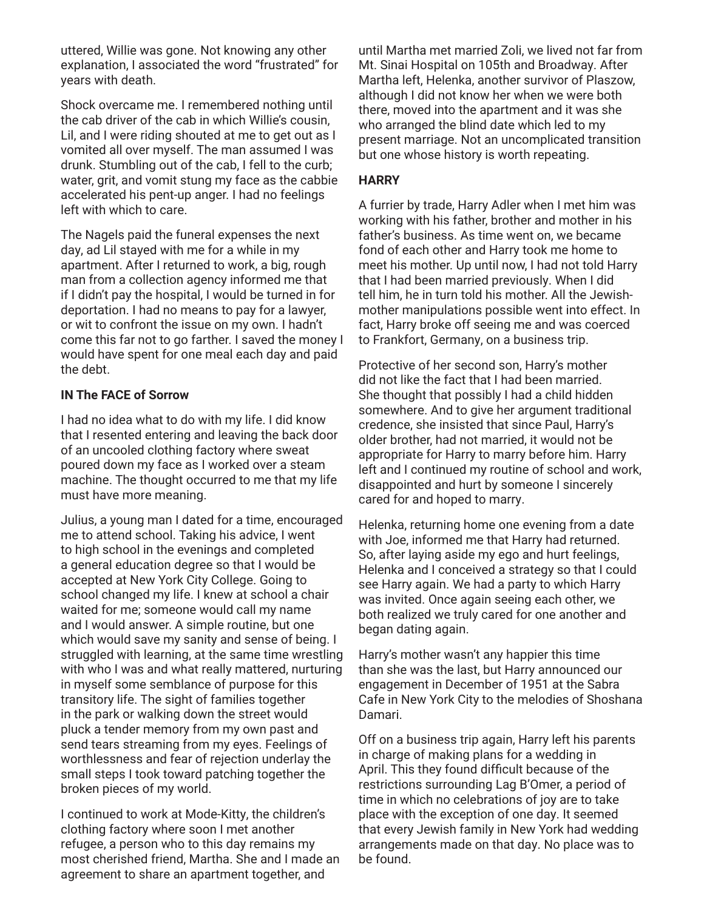uttered, Willie was gone. Not knowing any other explanation, I associated the word "frustrated" for years with death.

Shock overcame me. I remembered nothing until the cab driver of the cab in which Willie's cousin, Lil, and I were riding shouted at me to get out as I vomited all over myself. The man assumed I was drunk. Stumbling out of the cab, I fell to the curb; water, grit, and vomit stung my face as the cabbie accelerated his pent-up anger. I had no feelings left with which to care.

The Nagels paid the funeral expenses the next day, ad Lil stayed with me for a while in my apartment. After I returned to work, a big, rough man from a collection agency informed me that if I didn't pay the hospital, I would be turned in for deportation. I had no means to pay for a lawyer, or wit to confront the issue on my own. I hadn't come this far not to go farther. I saved the money I would have spent for one meal each day and paid the debt.

## **IN The FACE of Sorrow**

I had no idea what to do with my life. I did know that I resented entering and leaving the back door of an uncooled clothing factory where sweat poured down my face as I worked over a steam machine. The thought occurred to me that my life must have more meaning.

Julius, a young man I dated for a time, encouraged me to attend school. Taking his advice, I went to high school in the evenings and completed a general education degree so that I would be accepted at New York City College. Going to school changed my life. I knew at school a chair waited for me; someone would call my name and I would answer. A simple routine, but one which would save my sanity and sense of being. I struggled with learning, at the same time wrestling with who I was and what really mattered, nurturing in myself some semblance of purpose for this transitory life. The sight of families together in the park or walking down the street would pluck a tender memory from my own past and send tears streaming from my eyes. Feelings of worthlessness and fear of rejection underlay the small steps I took toward patching together the broken pieces of my world.

I continued to work at Mode-Kitty, the children's clothing factory where soon I met another refugee, a person who to this day remains my most cherished friend, Martha. She and I made an agreement to share an apartment together, and

until Martha met married Zoli, we lived not far from Mt. Sinai Hospital on 105th and Broadway. After Martha left, Helenka, another survivor of Plaszow, although I did not know her when we were both there, moved into the apartment and it was she who arranged the blind date which led to my present marriage. Not an uncomplicated transition but one whose history is worth repeating.

## **HARRY**

A furrier by trade, Harry Adler when I met him was working with his father, brother and mother in his father's business. As time went on, we became fond of each other and Harry took me home to meet his mother. Up until now, I had not told Harry that I had been married previously. When I did tell him, he in turn told his mother. All the Jewishmother manipulations possible went into effect. In fact, Harry broke off seeing me and was coerced to Frankfort, Germany, on a business trip.

Protective of her second son, Harry's mother did not like the fact that I had been married. She thought that possibly I had a child hidden somewhere. And to give her argument traditional credence, she insisted that since Paul, Harry's older brother, had not married, it would not be appropriate for Harry to marry before him. Harry left and I continued my routine of school and work, disappointed and hurt by someone I sincerely cared for and hoped to marry.

Helenka, returning home one evening from a date with Joe, informed me that Harry had returned. So, after laying aside my ego and hurt feelings, Helenka and I conceived a strategy so that I could see Harry again. We had a party to which Harry was invited. Once again seeing each other, we both realized we truly cared for one another and began dating again.

Harry's mother wasn't any happier this time than she was the last, but Harry announced our engagement in December of 1951 at the Sabra Cafe in New York City to the melodies of Shoshana Damari.

Off on a business trip again, Harry left his parents in charge of making plans for a wedding in April. This they found difficult because of the restrictions surrounding Lag B'Omer, a period of time in which no celebrations of joy are to take place with the exception of one day. It seemed that every Jewish family in New York had wedding arrangements made on that day. No place was to be found.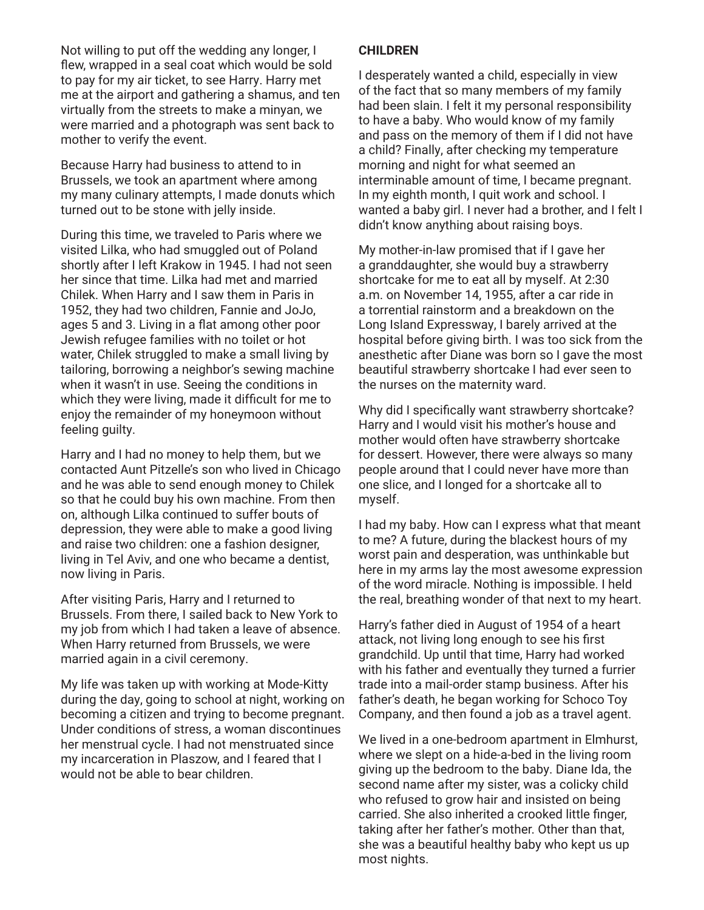Not willing to put off the wedding any longer, I flew, wrapped in a seal coat which would be sold to pay for my air ticket, to see Harry. Harry met me at the airport and gathering a shamus, and ten virtually from the streets to make a minyan, we were married and a photograph was sent back to mother to verify the event.

Because Harry had business to attend to in Brussels, we took an apartment where among my many culinary attempts, I made donuts which turned out to be stone with jelly inside.

During this time, we traveled to Paris where we visited Lilka, who had smuggled out of Poland shortly after I left Krakow in 1945. I had not seen her since that time. Lilka had met and married Chilek. When Harry and I saw them in Paris in 1952, they had two children, Fannie and JoJo, ages 5 and 3. Living in a flat among other poor Jewish refugee families with no toilet or hot water, Chilek struggled to make a small living by tailoring, borrowing a neighbor's sewing machine when it wasn't in use. Seeing the conditions in which they were living, made it difficult for me to enjoy the remainder of my honeymoon without feeling guilty.

Harry and I had no money to help them, but we contacted Aunt Pitzelle's son who lived in Chicago and he was able to send enough money to Chilek so that he could buy his own machine. From then on, although Lilka continued to suffer bouts of depression, they were able to make a good living and raise two children: one a fashion designer, living in Tel Aviv, and one who became a dentist, now living in Paris.

After visiting Paris, Harry and I returned to Brussels. From there, I sailed back to New York to my job from which I had taken a leave of absence. When Harry returned from Brussels, we were married again in a civil ceremony.

My life was taken up with working at Mode-Kitty during the day, going to school at night, working on becoming a citizen and trying to become pregnant. Under conditions of stress, a woman discontinues her menstrual cycle. I had not menstruated since my incarceration in Plaszow, and I feared that I would not be able to bear children.

## **CHILDREN**

I desperately wanted a child, especially in view of the fact that so many members of my family had been slain. I felt it my personal responsibility to have a baby. Who would know of my family and pass on the memory of them if I did not have a child? Finally, after checking my temperature morning and night for what seemed an interminable amount of time, I became pregnant. In my eighth month, I quit work and school. I wanted a baby girl. I never had a brother, and I felt I didn't know anything about raising boys.

My mother-in-law promised that if I gave her a granddaughter, she would buy a strawberry shortcake for me to eat all by myself. At 2:30 a.m. on November 14, 1955, after a car ride in a torrential rainstorm and a breakdown on the Long Island Expressway, I barely arrived at the hospital before giving birth. I was too sick from the anesthetic after Diane was born so I gave the most beautiful strawberry shortcake I had ever seen to the nurses on the maternity ward.

Why did I specifically want strawberry shortcake? Harry and I would visit his mother's house and mother would often have strawberry shortcake for dessert. However, there were always so many people around that I could never have more than one slice, and I longed for a shortcake all to myself.

I had my baby. How can I express what that meant to me? A future, during the blackest hours of my worst pain and desperation, was unthinkable but here in my arms lay the most awesome expression of the word miracle. Nothing is impossible. I held the real, breathing wonder of that next to my heart.

Harry's father died in August of 1954 of a heart attack, not living long enough to see his first grandchild. Up until that time, Harry had worked with his father and eventually they turned a furrier trade into a mail-order stamp business. After his father's death, he began working for Schoco Toy Company, and then found a job as a travel agent.

We lived in a one-bedroom apartment in Elmhurst, where we slept on a hide-a-bed in the living room giving up the bedroom to the baby. Diane Ida, the second name after my sister, was a colicky child who refused to grow hair and insisted on being carried. She also inherited a crooked little finger, taking after her father's mother. Other than that, she was a beautiful healthy baby who kept us up most nights.